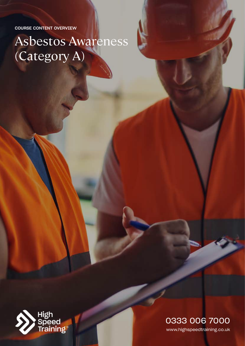COURSE CONTENT OVERVIEW

# Asbestos Awareness (Category A)



www.highspeedtraining.co.uk 0333 006 7000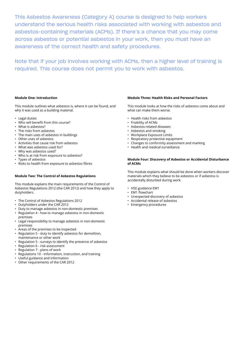This Asbestos Awareness (Category A) course is designed to help workers understand the serious health risks associated with working with asbestos and asbestos-containing materials (ACMs). If there's a chance that you may come across asbestos or potential asbestos in your work, then you must have an awareness of the correct health and safety procedures.

Note that if your job involves working with ACMs, then a higher level of training is required. This course does not permit you to work with asbestos.

## **Module One: Introduction**

This module outlines what asbestos is, where it can be found, and why it was used as a building material.

- Legal duties
- Who will benefit from this course?
- What is asbestos?
- The risks from asbestos
- The main uses of asbestos in buildings
- Other uses of asbestos
- Activities that cause risk from asbestos
- What was asbestos used for?
- Why was asbestos used?
- Who is at risk from exposure to asbestos?
- Types of asbestos
- Risks to health from exposure to asbestos fibres

#### **Module Two: The Control of Asbestos Regulations**

This module explains the main requirements of the Control of Asbestos Regulations 2012 (the CAR 2012) and how they apply to dutyholders.

- The Control of Asbestos Regulations 2012
- Dutyholders under the CAR 2012
- Duty to manage asbestos in non-domestic premises
- Regulation 4 how to manage asbestos in non-domestic premises
- Legal responsibility to manage asbestos in non-domestic premises
- Areas of the premises to be inspected
- Regulation 5 duty to identify asbestos for demolition, maintenance or other work
- Regulation 5 surveys to identify the presence of asbestos
- Regulation 6 risk assessment
- Regulation 7 plans of work
- Regulations 10 information, instruction, and training
- Useful guidance and information
- Other requirements of the CAR 2012

# **Module Three: Health Risks and Personal Factors**

This module looks at how the risks of asbestos come about and what can make them worse.

- Health risks from asbestos
- Friability of ACMs
- Asbestos-related diseases
- Asbestos and smoking
- Workplace Exposure Limits
- Respiratory protective equipment
- Changes to conformity assessment and marking
- Health and medical surveillance

## **Module Four: Discovery of Asbestos or Accidental Disturbance of ACMs**

This module explains what should be done when workers discover materials which they believe to be asbestos or if asbestos is accidentally disturbed during work.

- HSE guidance EM1
- EM1 flowchart
- Unexpected discovery of asbestos
- Accidental release of asbestos
- Emergency procedures